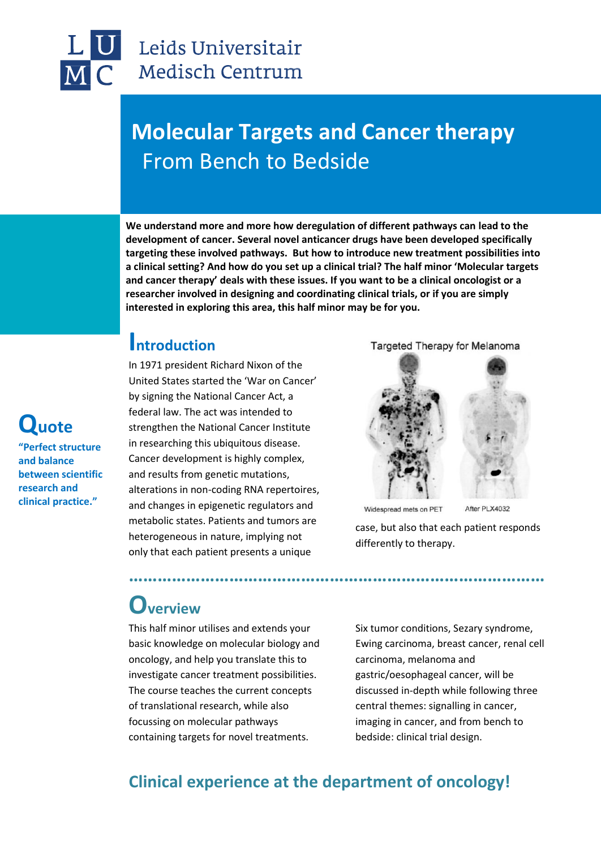## Leids Universitair Medisch Centrum

## **Molecular Targets and Cancer therapy** From Bench to Bedside

**We understand more and more how deregulation of different pathways can lead to the development of cancer. Several novel anticancer drugs have been developed specifically targeting these involved pathways. But how to introduce new treatment possibilities into a clinical setting? And how do you set up a clinical trial? The half minor 'Molecular targets and cancer therapy' deals with these issues. If you want to be a clinical oncologist or a researcher involved in designing and coordinating clinical trials, or if you are simply interested in exploring this area, this half minor may be for you.**

### **Introduction**

In 1971 president Richard Nixon of the United States started the 'War on Cancer' by signing the National Cancer Act, a federal law. The act was intended to strengthen the National Cancer Institute in researching this ubiquitous disease. Cancer development is highly complex, and results from genetic mutations, alterations in non-coding RNA repertoires, and changes in epigenetic regulators and metabolic states. Patients and tumors are heterogeneous in nature, implying not only that each patient presents a unique

Targeted Therapy for Melanoma



Widespread mets on PET

differently to therapy.

case, but also that each patient responds

After PLX4032

## **Overview**

This half minor utilises and extends your basic knowledge on molecular biology and oncology, and help you translate this to investigate cancer treatment possibilities. The course teaches the current concepts of translational research, while also focussing on molecular pathways containing targets for novel treatments.

Six tumor conditions, Sezary syndrome, Ewing carcinoma, breast cancer, renal cell carcinoma, melanoma and gastric/oesophageal cancer, will be discussed in-depth while following three central themes: signalling in cancer, imaging in cancer, and from bench to bedside: clinical trial design.

### **Clinical experience at the department of oncology!**

**……………………………………………………………………………**

## **Quote**

**"Perfect structure and balance between scientific research and clinical practice."**